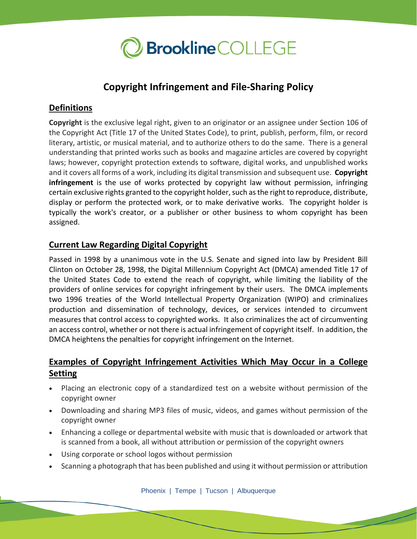

# **Copyright Infringement and File-Sharing Policy**

#### **Definitions**

**Copyright** is the exclusive legal right, given to an originator or an assignee under Section 106 of the Copyright Act (Title 17 of the United States Code), to print, publish, perform, film, or record literary, artistic, or musical material, and to authorize others to do the same. There is a general understanding that printed works such as books and magazine articles are covered by copyright laws; however, copyright protection extends to software, digital works, and unpublished works and it covers all forms of a work, including its digital transmission and subsequent use. **Copyright infringement** is the use of works protected by copyright law without permission, infringing certain exclusive rights granted to the copyright holder, such as the right to reproduce, distribute, display or perform the protected work, or to make derivative works. The copyright holder is typically the work's creator, or a publisher or other business to whom copyright has been assigned.

#### **Current Law Regarding Digital Copyright**

Passed in 1998 by a unanimous vote in the U.S. Senate and signed into law by President Bill Clinton on October 28, 1998, the Digital Millennium Copyright Act (DMCA) amended Title 17 of the United States Code to extend the reach of copyright, while limiting the liability of the providers of online services for copyright infringement by their users. The DMCA implements two 1996 treaties of the World Intellectual Property Organization (WIPO) and criminalizes production and dissemination of technology, devices, or services intended to circumvent measures that control access to copyrighted works. It also criminalizes the act of circumventing an access control, whether or not there is actual infringement of copyright itself. In addition, the DMCA heightens the penalties for copyright infringement on the Internet.

# **Examples of Copyright Infringement Activities Which May Occur in a College Setting**

- Placing an electronic copy of a standardized test on a website without permission of the copyright owner
- Downloading and sharing MP3 files of music, videos, and games without permission of the copyright owner
- Enhancing a college or departmental website with music that is downloaded or artwork that is scanned from a book, all without attribution or permission of the copyright owners
- Using corporate or school logos without permission
- Scanning a photograph that has been published and using it without permission or attribution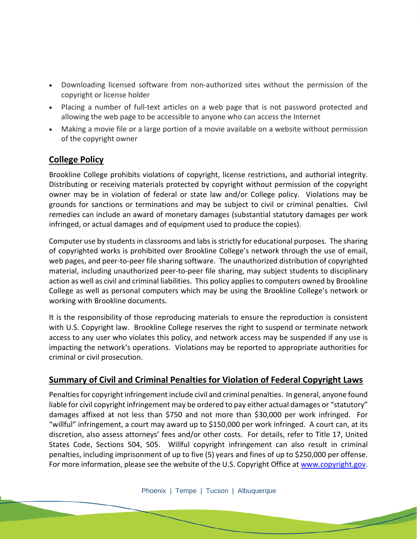- Downloading licensed software from non-authorized sites without the permission of the copyright or license holder
- Placing a number of full-text articles on a web page that is not password protected and allowing the web page to be accessible to anyone who can access the Internet
- Making a movie file or a large portion of a movie available on a website without permission of the copyright owner

# **College Policy**

Brookline College prohibits violations of copyright, license restrictions, and authorial integrity. Distributing or receiving materials protected by copyright without permission of the copyright owner may be in violation of federal or state law and/or College policy. Violations may be grounds for sanctions or terminations and may be subject to civil or criminal penalties. Civil remedies can include an award of monetary damages (substantial statutory damages per work infringed, or actual damages and of equipment used to produce the copies).

Computer use by students in classrooms and labs isstrictly for educational purposes. The sharing of copyrighted works is prohibited over Brookline College's network through the use of email, web pages, and peer-to-peer file sharing software. The unauthorized distribution of copyrighted material, including unauthorized peer-to-peer file sharing, may subject students to disciplinary action as well as civil and criminal liabilities. This policy applies to computers owned by Brookline College as well as personal computers which may be using the Brookline College's network or working with Brookline documents.

It is the responsibility of those reproducing materials to ensure the reproduction is consistent with U.S. Copyright law. Brookline College reserves the right to suspend or terminate network access to any user who violates this policy, and network access may be suspended if any use is impacting the network's operations. Violations may be reported to appropriate authorities for criminal or civil prosecution.

# **Summary of Civil and Criminal Penalties for Violation of Federal Copyright Laws**

Penalties for copyright infringement include civil and criminal penalties. In general, anyone found liable for civil copyright infringement may be ordered to pay either actual damages or "statutory" damages affixed at not less than \$750 and not more than \$30,000 per work infringed. For "willful" infringement, a court may award up to \$150,000 per work infringed. A court can, at its discretion, also assess attorneys' fees and/or other costs. For details, refer to Title 17, United States Code, Sections 504, 505. Willful copyright infringement can also result in criminal penalties, including imprisonment of up to five (5) years and fines of up to \$250,000 per offense. For more information, please see the website of the U.S. Copyright Office at [www.copyright.gov.](http://www.copyright.gov/)